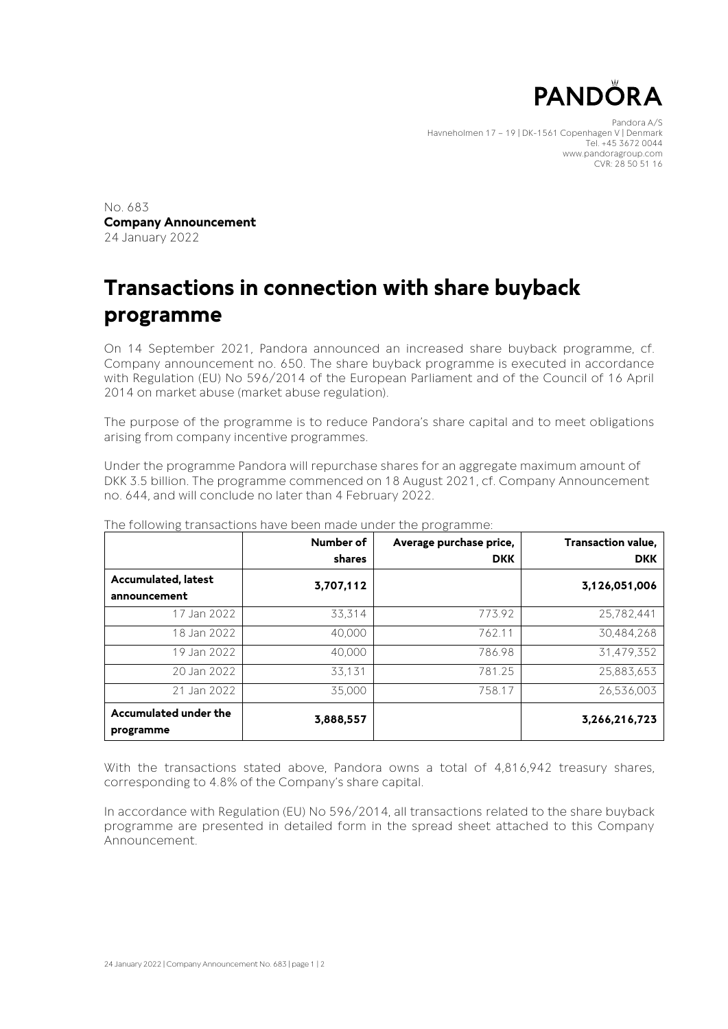

Pandora A/S Havneholmen 17 – 19 | DK-1561 Copenhagen V | Denmark Tel. +45 3672 0044 www.pandoragroup.com CVR: 28 50 51 16

No. 683 **Company Announcement** 24 January 2022

## **Transactions in connection with share buyback programme**

On 14 September 2021, Pandora announced an increased share buyback programme, cf. Company announcement no. 650. The share buyback programme is executed in accordance with Regulation (EU) No 596/2014 of the European Parliament and of the Council of 16 April 2014 on market abuse (market abuse regulation).

The purpose of the programme is to reduce Pandora's share capital and to meet obligations arising from company incentive programmes.

Under the programme Pandora will repurchase shares for an aggregate maximum amount of DKK 3.5 billion. The programme commenced on 18 August 2021, cf. Company Announcement no. 644, and will conclude no later than 4 February 2022.

|                                            | Number of<br>shares | Average purchase price,<br><b>DKK</b> | Transaction value,<br><b>DKK</b> |
|--------------------------------------------|---------------------|---------------------------------------|----------------------------------|
| <b>Accumulated, latest</b><br>announcement | 3,707,112           |                                       | 3,126,051,006                    |
| 17 Jan 2022                                | 33,314              | 773.92                                | 25,782,441                       |
| 18 Jan 2022                                | 40.000              | 762.11                                | 30,484,268                       |
| 19 Jan 2022                                | 40,000              | 786.98                                | 31.479.352                       |
| 20 Jan 2022                                | 33,131              | 781.25                                | 25,883,653                       |
| 21 Jan 2022                                | 35,000              | 758.17                                | 26.536.003                       |
| Accumulated under the<br>programme         | 3,888,557           |                                       | 3,266,216,723                    |

The following transactions have been made under the programme:

With the transactions stated above, Pandora owns a total of 4,816,942 treasury shares, corresponding to 4.8% of the Company's share capital.

In accordance with Regulation (EU) No 596/2014, all transactions related to the share buyback programme are presented in detailed form in the spread sheet attached to this Company Announcement.